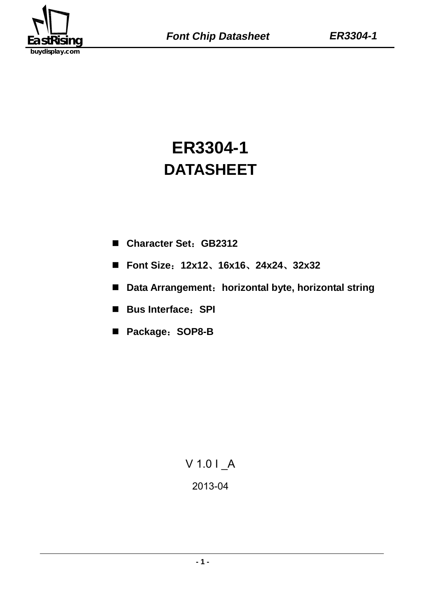

# **ER3304-1 DATASHEET**

- **Character Set**:**GB2312**
- **Font Size**:**12x12**、**16x16**、**24x24**、**32x32**
- **Data Arrangement**:**horizontal byte, horizontal string**
- **Bus Interface**:**SPI**
- **Package**:**SOP8-B**

# V 1.0 I \_A 2013-04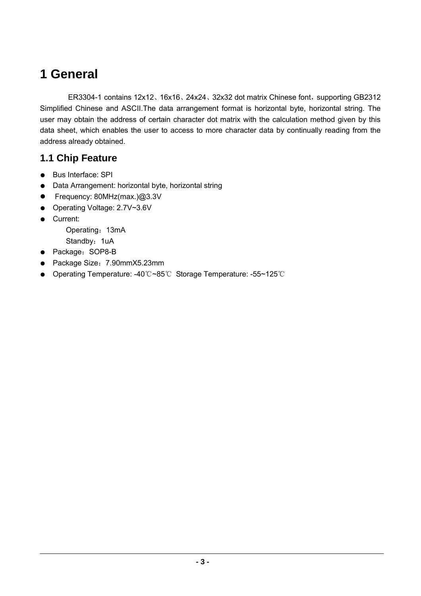## **1 General**

ER3304-1 contains 12x12、16x16、24x24、32x32 dot matrix Chinese font, supporting GB2312 Simplified Chinese and ASCII.The data arrangement format is horizontal byte, horizontal string. The user may obtain the address of certain character dot matrix with the calculation method given by this data sheet, which enables the user to access to more character data by continually reading from the address already obtained.

## **1.1 Chip Feature**

- Bus Interface: SPI
- Data Arrangement: horizontal byte, horizontal string
- Frequency: 80MHz(max.)@3.3V
- Operating Voltage: 2.7V~3.6V
- Current:

Operating: 13mA

Standby: 1uA

- Package: SOP8-B
- Package Size:7.90mmX5.23mm
- Operating Temperature: -40℃~85℃ Storage Temperature: -55~125℃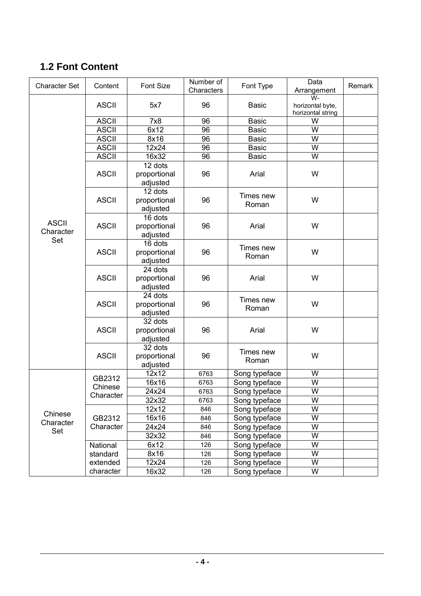## **1.2 Font Content**

| <b>Character Set</b>      | Content      | Font Size                           | Number of<br>Characters | Font Type               | Data<br>Arrangement                         | Remark |
|---------------------------|--------------|-------------------------------------|-------------------------|-------------------------|---------------------------------------------|--------|
|                           | <b>ASCII</b> | 5x7                                 | 96                      | <b>Basic</b>            | W-<br>horizontal byte,<br>horizontal string |        |
|                           | <b>ASCII</b> | 7x8                                 | 96                      | <b>Basic</b>            | W                                           |        |
|                           | <b>ASCII</b> | 6x12                                | 96                      | <b>Basic</b>            | $\overline{\mathsf{W}}$                     |        |
|                           | <b>ASCII</b> | 8x16                                | 96                      | <b>Basic</b>            | W                                           |        |
|                           | <b>ASCII</b> | 12x24                               | 96                      | <b>Basic</b>            | W                                           |        |
|                           | <b>ASCII</b> | 16x32                               | 96                      | <b>Basic</b>            | $\overline{\mathsf{W}}$                     |        |
|                           | <b>ASCII</b> | 12 dots<br>proportional<br>adjusted | 96                      | Arial                   | W                                           |        |
|                           | <b>ASCII</b> | 12 dots<br>proportional<br>adjusted | 96                      | Times new<br>Roman      | W                                           |        |
| <b>ASCII</b><br>Character | <b>ASCII</b> | 16 dots<br>proportional<br>adjusted | 96                      | Arial                   | W                                           |        |
| Set                       | <b>ASCII</b> | 16 dots<br>proportional<br>adjusted | 96                      | Times new<br>W<br>Roman |                                             |        |
|                           | <b>ASCII</b> | 24 dots<br>proportional<br>adjusted | 96                      | Arial                   | W                                           |        |
|                           | <b>ASCII</b> | 24 dots<br>proportional<br>adjusted | 96                      | Times new<br>Roman      | W                                           |        |
|                           | <b>ASCII</b> | 32 dots<br>proportional<br>adjusted | 96                      | Arial                   | W                                           |        |
|                           | <b>ASCII</b> | 32 dots<br>proportional<br>adjusted | 96                      | Times new<br>Roman      | W                                           |        |
|                           | GB2312       | 12x12                               | 6763                    | Song typeface           | W                                           |        |
|                           | Chinese      | 16x16                               | 6763                    | Song typeface           | W                                           |        |
|                           | Character    | 24x24                               | 6763                    | Song typeface           | W                                           |        |
|                           |              | 32x32                               | 6763                    | Song typeface           | W                                           |        |
| Chinese                   |              | 12x12                               | 846                     | Song typeface           | W                                           |        |
| Character                 | GB2312       | 16x16                               | 846                     | Song typeface           | W                                           |        |
| Set                       | Character    | 24x24                               | 846                     | Song typeface           | W                                           |        |
|                           |              | 32x32                               | 846                     | Song typeface           | W                                           |        |
|                           | National     | 6x12                                | 126                     | Song typeface           | $\overline{\mathsf{W}}$                     |        |
|                           | standard     | 8x16                                | 126                     | Song typeface           | W                                           |        |
|                           | extended     | 12x24                               | 126                     | Song typeface           | W                                           |        |
|                           | character    | 16x32                               | 126                     | Song typeface           | W                                           |        |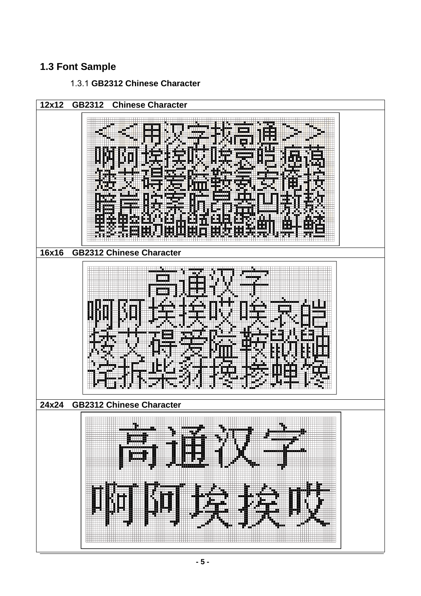## **1.3 Font Sample**

### 1.3.1 **GB2312 Chinese Character**

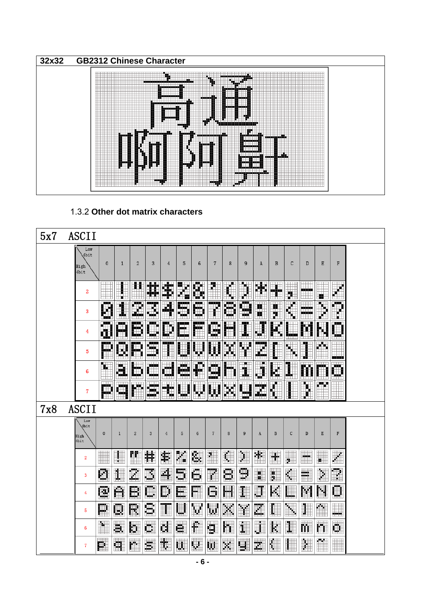

#### 1.3.2 **Other dot matrix characters**

| 5x7 | <b>ASCII</b>                |                      |                 |                    |                      |                  |                         |                 |                |                 |            |                      |                               |                      |                        |           |                                             |  |
|-----|-----------------------------|----------------------|-----------------|--------------------|----------------------|------------------|-------------------------|-----------------|----------------|-----------------|------------|----------------------|-------------------------------|----------------------|------------------------|-----------|---------------------------------------------|--|
|     | Low<br>4bit<br>High<br>4bit | $\mathbf 0$          | $\mathbf{1}$    | $\overline{2}$     | 3                    | $\overline{4}$   | 5                       | 6               | $\overline{7}$ | 8               | 9          | A                    | B                             | C                    | D                      | Ε         | F                                           |  |
|     | 2                           | $\overline{a}$<br>₩  |                 |                    | ÷                    | \$               | 麟                       | S.              | Ø<br>₩         |                 | ħ<br>УĤ.   | È                    | ₩<br>TTTTTTTTTTTTTTT <i>T</i> | ▓                    | الألائب الأبار         | x         | X                                           |  |
|     | 3                           | K                    | E               | tije<br>See<br>See | 11                   | M                | and<br>Sin              | C)              | Ŧ              | Ø               | <b>SIN</b> | ۳<br>Ħ.,             | ▓                             | E)                   | anan<br>Musik<br>Musik | tij<br>Ki | <b>M</b>                                    |  |
|     | 4                           |                      | Ø               | E                  | <b>Text</b><br>Elit  | <b>III</b><br>w. | e.<br>i na ma           | i               | E<br>m         | ð               |            | W                    |                               | ہے۔<br>انگلیٹ        |                        |           | <b>T</b>                                    |  |
|     | 5                           | 13 H S V<br>P        | <b>III</b><br>M |                    | ting<br>1987<br>1988 | W                |                         | Ş               | U              | <b>MA</b><br>Sü | 繁          |                      |                               | <b>TITLE</b><br>Ã    | Ŧ<br>ul 1              | 蓠         | ा । ।<br>$\pm$<br>$\overline{111}$<br>سنفتح |  |
|     | 6                           | W<br>$\pm\pm\pm$     | <u>U.</u>       |                    | an<br>San            | <b>BA</b>        | start<br>Start<br>Start | E               | <b>Cong</b>    | F.              | W۱<br>ı    | Ī                    | ē                             |                      |                        | m         | Ø<br>Ш                                      |  |
|     | 7                           | ——<br>œ              | <b>Exist</b>    | F.                 | en<br>1995           |                  | l.                      | W               | W              | 躑               | <u>u</u>   | Here<br>1941<br>1942 | 麛                             |                      | Ķ                      | <b>MA</b> | ШI                                          |  |
| 7x8 | <b>ASCII</b>                |                      |                 |                    |                      |                  |                         |                 |                |                 |            |                      |                               |                      |                        |           |                                             |  |
|     | Low<br>4bit<br>High<br>4bit | $\mathbf{0}$         | $\mathbf{1}$    | $\overline{2}$     | 3                    | 4                | 5                       | 6               | $\overline{7}$ | 8               | 9          | A                    | B                             | $\mathsf{C}$         | D                      | E         | F                                           |  |
|     | $\overline{2}$              | E                    | I               | Ħ                  | 緈                    | ≸                | X.                      | ß.              | XIII           |                 | þ          | ▓                    | ÷                             | $\blacksquare$<br>2. | $\blacksquare$         | ж.        |                                             |  |
|     | 3                           | Ø                    | 1               | Z                  | B                    | 4                | ₿                       | Ċ.              | rija.<br>Val   | 8               | B          | ₩₩<br>m              | <b>FFFFFF</b><br>H            | K.                   | m.                     | þ         | Œ                                           |  |
|     | 4                           | œ                    | A               | ₿                  | U.                   | P                | l.                      | W               | G              | Ä               | I          | J                    | K                             |                      | M                      | M         | $\Box$                                      |  |
|     | 5                           | M                    | W               | R                  | s                    |                  | Ц                       | M               | W              | ×               | m          |                      |                               | i.                   | I                      | M.<br>H   | E                                           |  |
|     | 6                           | <b>M</b>             | æ.              | k.                 | W                    | Œ                | ella.<br>Suo            | f.              | g              | m               | 1          | W                    | K                             | I                    | m.                     | n         | W.                                          |  |
|     | $\overline{7}$              | $\overline{1}$<br>p. | ┉<br>H          | <b>HILL</b><br>٣.  | SS.                  | Œ                | سسه<br>Ш.               | <b>HHH</b><br>W | ω.             | X               | W          | <b>HILL BE</b><br>z. | Œ                             |                      | M                      | m.<br>H   |                                             |  |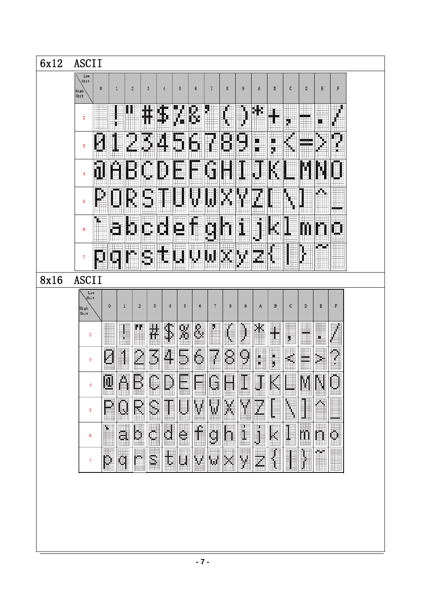| 6x12 | <b>ASCII</b>                                                                                                                                                                                                           |
|------|------------------------------------------------------------------------------------------------------------------------------------------------------------------------------------------------------------------------|
|      | $L \circ \pi$<br>4bit<br>$\mathbf 0$<br>$\mathbb F$<br>5<br>c<br>E<br>$\mathbf{1}$<br>$\overline{2}$<br>$\overline{\mathbf{3}}$<br>6<br>$\overline{7}$<br>8<br>9<br>В<br>D<br>$\overline{4}$<br>A<br>High<br>4bit      |
|      | H<br>æ.<br>B<br>缀<br>₩<br>T.<br>مزمزمز<br>$\overline{\mathbf{2}}$<br>ö                                                                                                                                                 |
|      | 3456<br>E<br>Ø<br>8<br>E<br><b>MA</b><br>Ø<br>្ញ<br>Į<br>3                                                                                                                                                             |
|      | ABCD<br>O<br>Ē<br>I-<br>4                                                                                                                                                                                              |
|      | W.<br>ORS<br>XX<br>EBI FEB<br>BED 199<br>5<br>-----                                                                                                                                                                    |
|      | f<br>O<br>1<br>BJ CH<br>IGB.<br>$\oplus$<br>ũ.<br>K.<br>0<br>6                                                                                                                                                         |
|      | tuvwxy<br><b>Billian</b><br>E<br>$\overline{7}$                                                                                                                                                                        |
| 8x16 | <b>ASCII</b>                                                                                                                                                                                                           |
|      | Low<br>4bit<br>$\mathbf F$<br>5<br>E<br>$\circ$<br>$\overline{2}$<br>6<br>$\overline{7}$<br>8<br>A<br>B<br>$\mathbf C$<br>D<br>$\mathbf{1}$<br>3<br>$\overline{4}$<br>9<br>High<br>4bit                                |
|      | I<br>&<br>\$<br>X<br>ľ<br>m<br>$\cdot$<br>Å<br>J<br>Ӌ<br>L<br>$\overline{\mathbf{2}}$                                                                                                                                  |
|      | Š<br>Ş<br>ļ<br>þ.<br>Š<br>4<br>$\tilde{z}$<br>J<br>Ē<br>Ş<br>Ĩ<br>Ø<br>İ<br>3                                                                                                                                          |
|      | P<br>G<br>$\mathbf{r}$<br>$\blacksquare$<br>$\mathbb{C}$<br>M<br>4                                                                                                                                                     |
|      | $\frac{1}{3}$<br>E X<br>$\frac{1}{\sqrt{2}}$<br>Z<br>$\overline{\mathbb{Q}}$<br>$\mathcal{L}$<br>$\overline{\mathbf{w}}$<br>R<br>$\hat{=}$<br>$\ddot{\phantom{0}}$<br>$\ddot{\phantom{0}}$<br>$\mathbb{P}$<br>5<br>Ī.  |
|      | <b>Property</b><br>$\overline{a}$<br>Ī<br>e.<br>g<br><b>Second</b><br>$\overline{\phantom{a}}$<br>$\overline{\mathbb{R}}$<br>h<br>$\overline{\mathbf{j}}$<br>$\mathbf{f}$<br>a<br>6<br>MD.                             |
|      | $\overline{\mathbf{v}}$<br>$\overline{z}$<br>Ţ<br>$\mathbb{Z}$<br>q<br>3<br>$\overline{\mathbf{y}}$<br>Ī<br>p<br>r<br>$\mathbf{E}$<br>$\overline{\mathbf{u}}$<br>$\overline{\phantom{0}}$<br>WANGI UNI<br>7<br>▦<br>⊞⊞ |
|      |                                                                                                                                                                                                                        |
|      |                                                                                                                                                                                                                        |
|      |                                                                                                                                                                                                                        |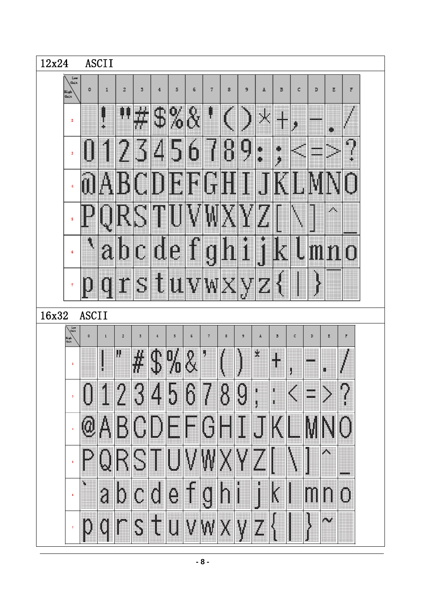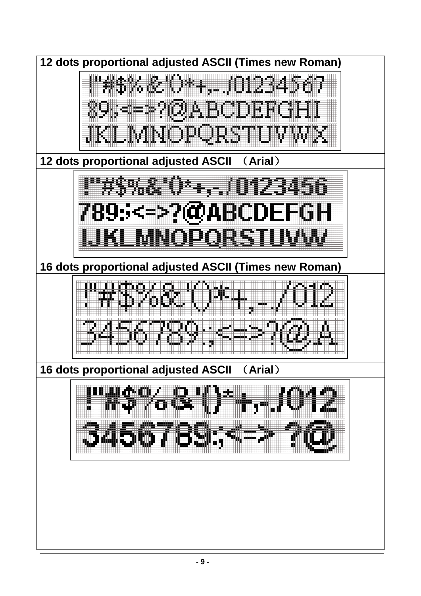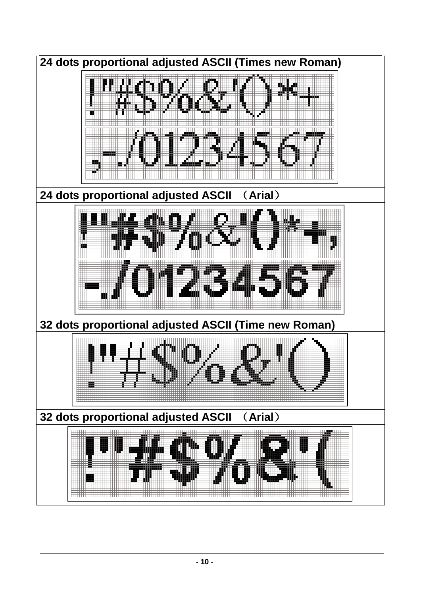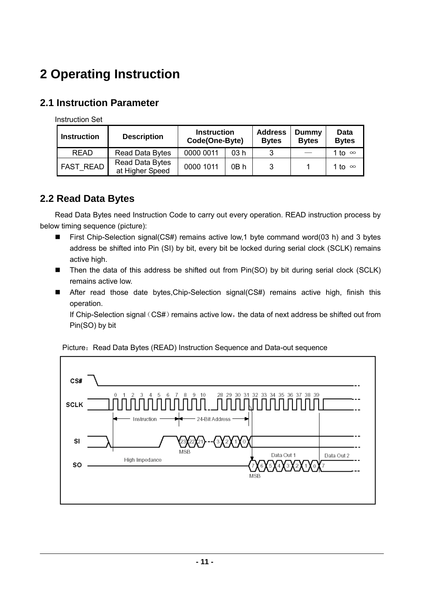## **2 Operating Instruction**

### **2.1 Instruction Parameter**

Instruction Set

| <b>Instruction</b> | <b>Description</b>                        | <b>Instruction</b><br>Code(One-Byte) |      | <b>Address</b><br><b>Bytes</b> | Dummy<br><b>Bytes</b> | Data<br><b>Bytes</b> |
|--------------------|-------------------------------------------|--------------------------------------|------|--------------------------------|-----------------------|----------------------|
| <b>READ</b>        | <b>Read Data Bytes</b>                    | 0000 0011                            | 03 h |                                |                       | 1 to ∞               |
| <b>FAST READ</b>   | <b>Read Data Bytes</b><br>at Higher Speed | 0000 1011                            | 0B h |                                |                       | 1 to ∞               |

## **2.2 Read Data Bytes**

Read Data Bytes need Instruction Code to carry out every operation. READ instruction process by below timing sequence (picture):

- First Chip-Selection signal(CS#) remains active low,1 byte command word(03 h) and 3 bytes address be shifted into Pin (SI) by bit, every bit be locked during serial clock (SCLK) remains active high.
- Then the data of this address be shifted out from Pin(SO) by bit during serial clock (SCLK) remains active low.
- After read those date bytes,Chip-Selection signal(CS#) remains active high, finish this operation.

If Chip-Selection signal (CS#) remains active low, the data of next address be shifted out from Pin(SO) by bit



Picture: Read Data Bytes (READ) Instruction Sequence and Data-out sequence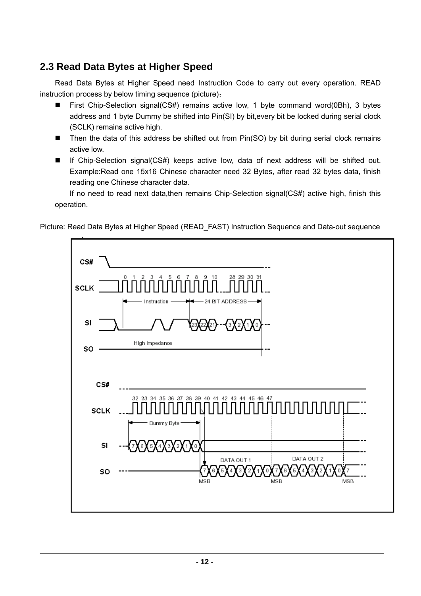## **2.3 Read Data Bytes at Higher Speed**

Read Data Bytes at Higher Speed need Instruction Code to carry out every operation. READ instruction process by below timing sequence (picture):

- First Chip-Selection signal(CS#) remains active low, 1 byte command word(0Bh), 3 bytes address and 1 byte Dummy be shifted into Pin(SI) by bit,every bit be locked during serial clock (SCLK) remains active high.
- Then the data of this address be shifted out from Pin(SO) by bit during serial clock remains active low.
- If Chip-Selection signal(CS#) keeps active low, data of next address will be shifted out. Example:Read one 15x16 Chinese character need 32 Bytes, after read 32 bytes data, finish reading one Chinese character data.

 If no need to read next data,then remains Chip-Selection signal(CS#) active high, finish this operation.

Picture: Read Data Bytes at Higher Speed (READ\_FAST) Instruction Sequence and Data-out sequence

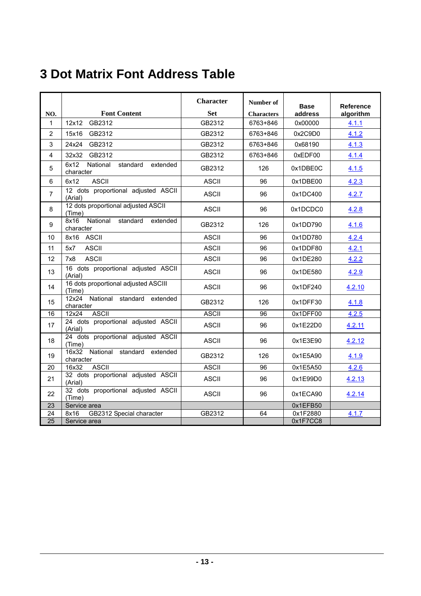## **3 Dot Matrix Font Address Table**

|                 |                                                       | <b>Character</b> | Number of         | <b>Base</b> | <b>Reference</b> |
|-----------------|-------------------------------------------------------|------------------|-------------------|-------------|------------------|
| NO.             | <b>Font Content</b>                                   | <b>Set</b>       | <b>Characters</b> | address     | algorithm        |
| $\mathbf 1$     | GB2312<br>12x12                                       | GB2312           | 6763+846          | 0x00000     | 4.1.1            |
| $\overline{2}$  | 15x16<br>GB2312                                       | GB2312           | 6763+846          | 0x2C9D0     | 4.1.2            |
| 3               | 24x24<br>GB2312                                       | GB2312           | 6763+846          | 0x68190     | 4.1.3            |
| 4               | 32x32<br>GB2312                                       | GB2312           | 6763+846          | 0xEDF00     | 4.1.4            |
| 5               | 6x12<br>National<br>standard<br>extended<br>character | GB2312           | 126               | 0x1DBE0C    | 4.1.5            |
| 6               | <b>ASCII</b><br>6x12                                  | <b>ASCII</b>     | 96                | 0x1DBE00    | 4.2.3            |
| $\overline{7}$  | 12 dots proportional adjusted ASCII<br>(Arial)        | <b>ASCII</b>     | 96                | 0x1DC400    | 4.2.7            |
| 8               | 12 dots proportional adjusted ASCII<br>(Time)         | <b>ASCII</b>     | 96                | 0x1DCDC0    | 4.2.8            |
| 9               | National<br>8x16<br>standard<br>extended<br>character | GB2312           | 126               | 0x1DD790    | 4.1.6            |
| 10              | 8x16 ASCII                                            | <b>ASCII</b>     | 96                | 0x1DD780    | 4.2.4            |
| 11              | 5x7<br><b>ASCII</b>                                   | <b>ASCII</b>     | 96                | 0x1DDF80    | 4.2.1            |
| 12              | <b>ASCII</b><br>7x8                                   | <b>ASCII</b>     | 96                | 0x1DE280    | 4.2.2            |
| 13              | 16 dots proportional adjusted ASCII<br>(Arial)        | <b>ASCII</b>     | 96                | 0x1DE580    | 4.2.9            |
| 14              | 16 dots proportional adjusted ASCIII<br>(Time)        | <b>ASCII</b>     | 96                | 0x1DF240    | 4.2.10           |
| 15              | National standard extended<br>12x24<br>character      | GB2312           | 126               | 0x1DFF30    | 4.1.8            |
| 16              | <b>ASCII</b><br>12x24                                 | <b>ASCII</b>     | 96                | 0x1DFF00    | 4.2.5            |
| 17              | 24 dots proportional adjusted ASCII<br>(Arial)        | <b>ASCII</b>     | 96                | 0x1E22D0    | 4.2.11           |
| 18              | 24 dots proportional adjusted ASCII<br>(Time)         | <b>ASCII</b>     | 96                | 0x1E3E90    | 4.2.12           |
| 19              | 16x32 National standard extended<br>character         | GB2312           | 126               | 0x1E5A90    | 4.1.9            |
| 20              | 16x32<br><b>ASCII</b>                                 | <b>ASCII</b>     | 96                | 0x1E5A50    | 4.2.6            |
| 21              | 32 dots proportional adjusted ASCII<br>(Arial)        | <b>ASCII</b>     | 96                | 0x1E99D0    | 4.2.13           |
| 22              | 32 dots proportional adjusted ASCII<br>(Time)         | <b>ASCII</b>     | 96                | 0x1ECA90    | 4.2.14           |
| 23              | Service area                                          |                  |                   | 0x1EFB50    |                  |
| $\overline{24}$ | 8x16<br>GB2312 Special character                      | GB2312           | 64                | 0x1F2880    | 4.1.7            |
| $\overline{25}$ | Service area                                          |                  |                   | 0x1F7CC8    |                  |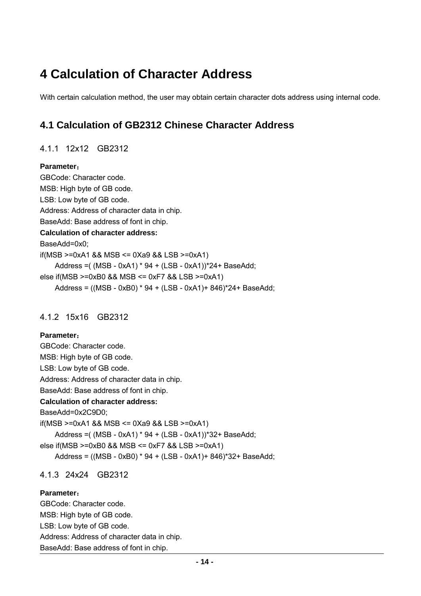## **4 Calculation of Character Address**

With certain calculation method, the user may obtain certain character dots address using internal code.

## **4.1 Calculation of GB2312 Chinese Character Address**

#### 4.1.1 12x12 GB2312

#### **Parameter**:

GBCode: Character code. MSB: High byte of GB code. LSB: Low byte of GB code. Address: Address of character data in chip. BaseAdd: Base address of font in chip. **Calculation of character address:** BaseAdd=0x0; if(MSB >=0xA1 && MSB <= 0Xa9 && LSB >=0xA1) Address =( (MSB - 0xA1) \* 94 + (LSB - 0xA1))\*24+ BaseAdd; else if(MSB >=0xB0 && MSB <= 0xF7 && LSB >=0xA1) Address = ((MSB - 0xB0) \* 94 + (LSB - 0xA1)+ 846)\*24+ BaseAdd;

#### 4.1.2 15x16 GB2312

#### **Parameter**:

GBCode: Character code. MSB: High byte of GB code. LSB: Low byte of GB code. Address: Address of character data in chip. BaseAdd: Base address of font in chip. **Calculation of character address:** BaseAdd=0x2C9D0; if(MSB >=0xA1 && MSB <= 0Xa9 && LSB >=0xA1) Address =( (MSB - 0xA1) \* 94 + (LSB - 0xA1))\*32+ BaseAdd; else if(MSB >=0xB0 && MSB <= 0xF7 && LSB >=0xA1) Address = ((MSB - 0xB0) \* 94 + (LSB - 0xA1)+ 846)\*32+ BaseAdd;

#### 4.1.3 24x24 GB2312

#### **Parameter**:

GBCode: Character code. MSB: High byte of GB code. LSB: Low byte of GB code. Address: Address of character data in chip. BaseAdd: Base address of font in chip.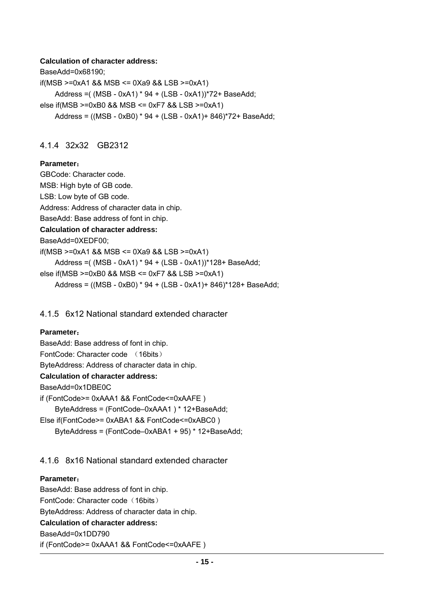#### **Calculation of character address:**

BaseAdd=0x68190; if(MSB >=0xA1 && MSB <= 0Xa9 && LSB >=0xA1) Address =( (MSB - 0xA1) \* 94 + (LSB - 0xA1))\*72+ BaseAdd; else if(MSB >=0xB0 && MSB <= 0xF7 && LSB >=0xA1) Address = ((MSB - 0xB0) \* 94 + (LSB - 0xA1)+ 846)\*72+ BaseAdd;

#### 4.1.4 32x32 GB2312

#### **Parameter**:

GBCode: Character code. MSB: High byte of GB code. LSB: Low byte of GB code. Address: Address of character data in chip. BaseAdd: Base address of font in chip. **Calculation of character address:** BaseAdd=0XEDF00; if(MSB >=0xA1 && MSB <= 0Xa9 && LSB >=0xA1) Address =( (MSB - 0xA1) \* 94 + (LSB - 0xA1))\*128+ BaseAdd; else if(MSB >=0xB0 && MSB <= 0xF7 && LSB >=0xA1) Address = ((MSB - 0xB0) \* 94 + (LSB - 0xA1)+ 846)\*128+ BaseAdd;

#### 4.1.5 6x12 National standard extended character

#### **Parameter**:

BaseAdd: Base address of font in chip. FontCode: Character code (16bits) ByteAddress: Address of character data in chip. **Calculation of character address:** BaseAdd=0x1DBE0C if (FontCode>= 0xAAA1 && FontCode<=0xAAFE ) ByteAddress = (FontCode–0xAAA1 ) \* 12+BaseAdd; Else if(FontCode>= 0xABA1 && FontCode<=0xABC0 ) ByteAddress = (FontCode–0xABA1 + 95) \* 12+BaseAdd;

#### 4.1.6 8x16 National standard extended character

#### **Parameter**:

BaseAdd: Base address of font in chip. FontCode: Character code (16bits) ByteAddress: Address of character data in chip. **Calculation of character address:** BaseAdd=0x1DD790 if (FontCode>= 0xAAA1 && FontCode<=0xAAFE )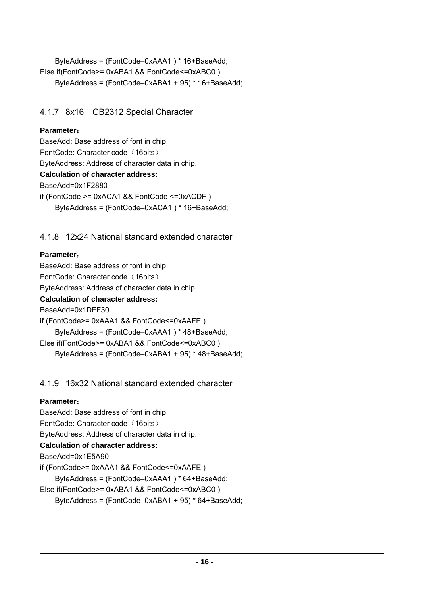ByteAddress = (FontCode–0xAAA1 ) \* 16+BaseAdd; Else if(FontCode>= 0xABA1 && FontCode<=0xABC0 ) ByteAddress = (FontCode–0xABA1 + 95) \* 16+BaseAdd;

#### 4.1.7 8x16 GB2312 Special Character

#### **Parameter**:

BaseAdd: Base address of font in chip. FontCode: Character code (16bits) ByteAddress: Address of character data in chip. **Calculation of character address:** BaseAdd=0x1F2880 if (FontCode >= 0xACA1 && FontCode <=0xACDF ) ByteAddress = (FontCode–0xACA1 ) \* 16+BaseAdd;

4.1.8 12x24 National standard extended character

#### **Parameter**:

BaseAdd: Base address of font in chip. FontCode: Character code (16bits) ByteAddress: Address of character data in chip. **Calculation of character address:** BaseAdd=0x1DFF30 if (FontCode>= 0xAAA1 && FontCode<=0xAAFE ) ByteAddress = (FontCode–0xAAA1 ) \* 48+BaseAdd; Else if(FontCode>= 0xABA1 && FontCode<=0xABC0 ) ByteAddress = (FontCode–0xABA1 + 95) \* 48+BaseAdd;

#### 4.1.9 16x32 National standard extended character

#### **Parameter**:

BaseAdd: Base address of font in chip. FontCode: Character code (16bits) ByteAddress: Address of character data in chip. **Calculation of character address:** BaseAdd=0x1E5A90 if (FontCode>= 0xAAA1 && FontCode<=0xAAFE ) ByteAddress = (FontCode–0xAAA1 ) \* 64+BaseAdd; Else if(FontCode>= 0xABA1 && FontCode<=0xABC0 ) ByteAddress = (FontCode–0xABA1 + 95) \* 64+BaseAdd;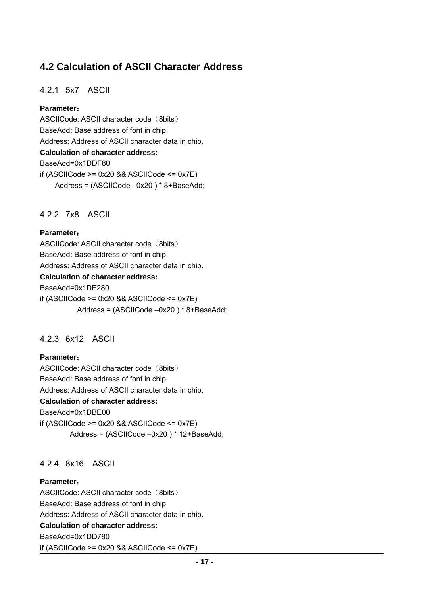## **4.2 Calculation of ASCII Character Address**

#### 4.2.1 5x7 ASCII

#### **Parameter**:

ASCIICode: ASCII character code (8bits) BaseAdd: Base address of font in chip. Address: Address of ASCII character data in chip. **Calculation of character address:** BaseAdd=0x1DDF80 if (ASCIICode  $>= 0x20$  && ASCIICode  $<= 0x7E$ ) Address = (ASCIICode –0x20 ) \* 8+BaseAdd;

#### 4.2.2 7x8 ASCII

#### **Parameter**:

ASCIICode: ASCII character code (8bits) BaseAdd: Base address of font in chip. Address: Address of ASCII character data in chip. **Calculation of character address:** BaseAdd=0x1DE280 if  $(ASCIICode >= 0x20 88 ASCIICode <= 0x7E)$ Address = (ASCIICode –0x20 ) \* 8+BaseAdd;

#### 4.2.3 6x12 ASCII

#### **Parameter**:

ASCIICode: ASCII character code (8bits) BaseAdd: Base address of font in chip. Address: Address of ASCII character data in chip. **Calculation of character address:** BaseAdd=0x1DBE00 if (ASCIICode  $>= 0x20$  && ASCIICode  $<= 0x7E$ ) Address = (ASCIICode –0x20 ) \* 12+BaseAdd;

#### 4.2.4 8x16 ASCII

#### **Parameter**:

ASCIICode: ASCII character code (8bits) BaseAdd: Base address of font in chip. Address: Address of ASCII character data in chip. **Calculation of character address:** BaseAdd=0x1DD780 if (ASCIICode  $>= 0x20$  && ASCIICode  $<= 0x7E$ )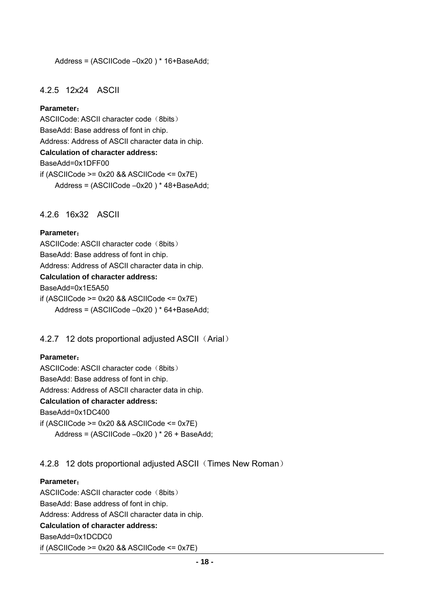#### Address = (ASCIICode –0x20 ) \* 16+BaseAdd;

#### 4.2.5 12x24 ASCII

#### **Parameter**:

ASCIICode: ASCII character code (8bits) BaseAdd: Base address of font in chip. Address: Address of ASCII character data in chip. **Calculation of character address:** BaseAdd=0x1DFF00 if (ASCIICode  $>= 0x20$  && ASCIICode  $<= 0x7E$ ) Address = (ASCIICode –0x20 ) \* 48+BaseAdd;

#### 4.2.6 16x32 ASCII

#### **Parameter**:

ASCIICode: ASCII character code (8bits) BaseAdd: Base address of font in chip. Address: Address of ASCII character data in chip. **Calculation of character address:** BaseAdd=0x1E5A50 if  $(ASCIICode >= 0x20 88 ASCIICode <= 0x7E)$ Address = (ASCIICode –0x20 ) \* 64+BaseAdd;

4.2.7 12 dots proportional adjusted ASCII (Arial)

#### **Parameter**:

ASCIICode: ASCII character code (8bits) BaseAdd: Base address of font in chip.

Address: Address of ASCII character data in chip.

#### **Calculation of character address:**

BaseAdd=0x1DC400

if (ASCIICode  $>= 0x20$  && ASCIICode  $<= 0x7E$ ) Address = (ASCIICode –0x20 ) \* 26 + BaseAdd;

#### 4.2.8 12 dots proportional adjusted ASCII (Times New Roman)

#### **Parameter**:

ASCIICode: ASCII character code (8bits) BaseAdd: Base address of font in chip. Address: Address of ASCII character data in chip. **Calculation of character address:** BaseAdd=0x1DCDC0 if (ASCIICode  $>= 0x20$  && ASCIICode  $<= 0x7E$ )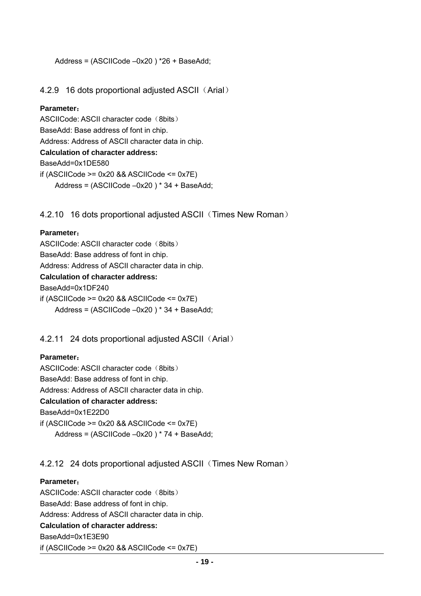```
 Address = (ASCIICode –0x20 ) *26 + BaseAdd;
```
#### 4.2.9 16 dots proportional adjusted ASCII (Arial)

#### **Parameter**:

ASCIICode: ASCII character code (8bits) BaseAdd: Base address of font in chip. Address: Address of ASCII character data in chip. **Calculation of character address:** BaseAdd=0x1DE580 if (ASCIICode  $>= 0x20$  && ASCIICode  $<= 0x7E$ ) Address = (ASCIICode –0x20 ) \* 34 + BaseAdd;

#### 4.2.10 16 dots proportional adjusted ASCII (Times New Roman)

#### **Parameter**:

ASCIICode: ASCII character code (8bits) BaseAdd: Base address of font in chip. Address: Address of ASCII character data in chip. **Calculation of character address:** BaseAdd=0x1DF240 if  $(ASCIICode >= 0x20 88 ASCIICode <= 0x7E)$ Address = (ASCIICode –0x20 ) \* 34 + BaseAdd;

4.2.11 24 dots proportional adjusted ASCII (Arial)

#### **Parameter**:

ASCIICode: ASCII character code (8bits)

BaseAdd: Base address of font in chip.

Address: Address of ASCII character data in chip.

#### **Calculation of character address:**

BaseAdd=0x1E22D0

if (ASCIICode  $>= 0x20$  && ASCIICode  $<= 0x7E$ ) Address = (ASCIICode –0x20 ) \* 74 + BaseAdd;

4.2.12 24 dots proportional adjusted ASCII (Times New Roman)

#### **Parameter**:

ASCIICode: ASCII character code (8bits) BaseAdd: Base address of font in chip. Address: Address of ASCII character data in chip. **Calculation of character address:** BaseAdd=0x1E3E90 if (ASCIICode  $>= 0x20$  && ASCIICode  $<= 0x7E$ )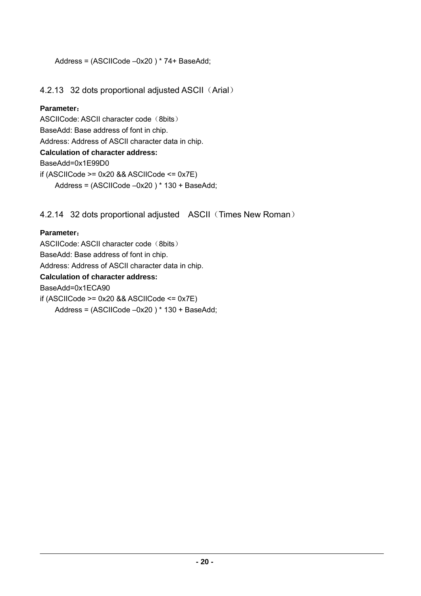```
 Address = (ASCIICode –0x20 ) * 74+ BaseAdd;
```
#### 4.2.13 32 dots proportional adjusted ASCII (Arial)

#### **Parameter**:

ASCIICode: ASCII character code (8bits) BaseAdd: Base address of font in chip. Address: Address of ASCII character data in chip. **Calculation of character address:** BaseAdd=0x1E99D0 if (ASCIICode  $>= 0x20$  && ASCIICode  $<= 0x7E$ ) Address = (ASCIICode –0x20 ) \* 130 + BaseAdd;

4.2.14 32 dots proportional adjusted ASCII (Times New Roman)

#### **Parameter**:

ASCIICode: ASCII character code (8bits) BaseAdd: Base address of font in chip. Address: Address of ASCII character data in chip. **Calculation of character address:** BaseAdd=0x1ECA90 if (ASCIICode  $>= 0x20$  && ASCIICode  $<= 0x7E$ ) Address = (ASCIICode –0x20 ) \* 130 + BaseAdd;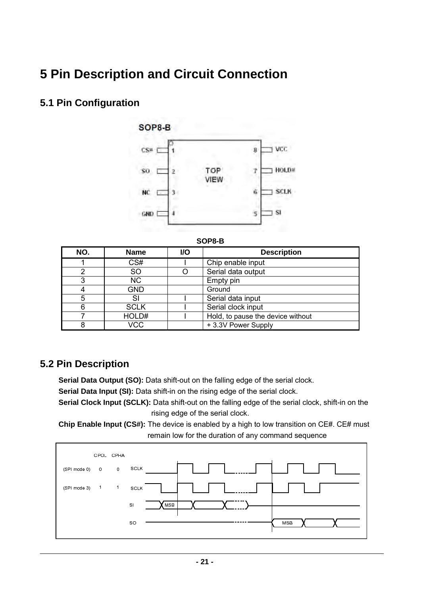## **5 Pin Description and Circuit Connection**

## **5.1 Pin Configuration**



| NO. | <b>Name</b>   | <b>VO</b> | <b>Description</b>                |
|-----|---------------|-----------|-----------------------------------|
|     | CS#           |           | Chip enable input                 |
| າ   | <sub>SO</sub> |           | Serial data output                |
| າ   | <b>NC</b>     |           | Empty pin                         |
|     | <b>GND</b>    |           | Ground                            |
| 5   | SI            |           | Serial data input                 |
| 6   | <b>SCLK</b>   |           | Serial clock input                |
|     | HOLD#         |           | Hold, to pause the device without |
| 8   | VCC           |           | +3.3V Power Supply                |

### **5.2 Pin Description**

 **Serial Data Output (SO):** Data shift-out on the falling edge of the serial clock.

**Serial Data Input (SI):** Data shift-in on the rising edge of the serial clock.

 **Serial Clock Input (SCLK):** Data shift-out on the falling edge of the serial clock, shift-in on the rising edge of the serial clock.

**Chip Enable Input (CS#):** The device is enabled by a high to low transition on CE#. CE# must remain low for the duration of any command sequence

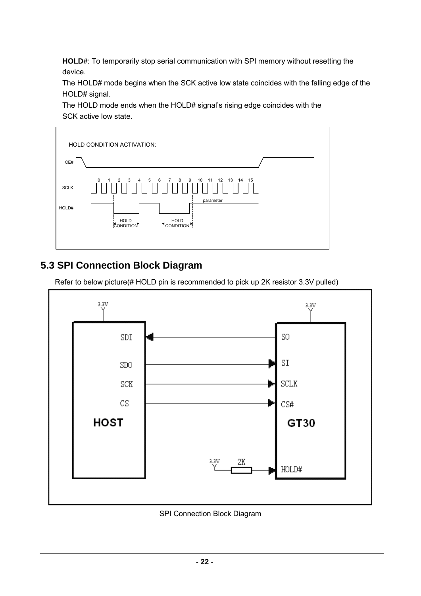**HOLD#**: To temporarily stop serial communication with SPI memory without resetting the device.

The HOLD# mode begins when the SCK active low state coincides with the falling edge of the HOLD# signal.

The HOLD mode ends when the HOLD# signal's rising edge coincides with the SCK active low state.



## **5.3 SPI Connection Block Diagram**

Refer to below picture(# HOLD pin is recommended to pick up 2K resistor 3.3V pulled)



#### SPI Connection Block Diagram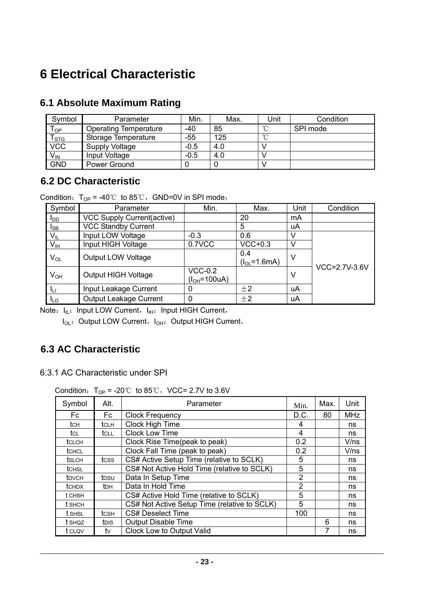## **6 Electrical Characteristic**

| Symbol                     | Parameter                    | Min.   | Max. | Unit   | Condition |
|----------------------------|------------------------------|--------|------|--------|-----------|
| $\mathsf{T}_{\mathsf{OP}}$ | <b>Operating Temperature</b> | -40    | 85   | $\sim$ | SPI mode  |
| $T_{\rm STG}$              | Storage Temperature          | $-55$  | 125  | $\sim$ |           |
| <b>VCC</b>                 | Supply Voltage               | $-0.5$ | 4.0  |        |           |
| V <sub>IN</sub>            | Input Voltage                | $-0.5$ | 4.0  |        |           |
| <b>GND</b>                 | Power Ground                 |        |      |        |           |

### **6.1 Absolute Maximum Rating**

#### **6.2 DC Characteristic**

Condition:  $T_{OP} = -40^{\circ}$  to 85°C, GND=0V in SPI mode;

| Symbol                 | Parameter                     | Min.          | Max.               | Unit | Condition     |  |
|------------------------|-------------------------------|---------------|--------------------|------|---------------|--|
| <b>I</b> <sub>DD</sub> | VCC Supply Current(active)    |               | 20                 | mA   |               |  |
| <sub>ISB</sub>         | <b>VCC Standby Current</b>    |               | 5                  | uA   |               |  |
| $V_{IL}$               | Input LOW Voltage             | $-0.3$        | 0.6                |      |               |  |
| V <sub>IH</sub>        | Input HIGH Voltage            | 0.7VCC        | $VCC+0.3$          |      |               |  |
| $V_{OL}$               | Output LOW Voltage            |               | 0.4                | -V   |               |  |
|                        |                               |               | $(l_{OL} = 1.6mA)$ |      |               |  |
| $V_{OH}$               | Output HIGH Voltage           | $VCC-0.2$     |                    | V    | VCC=2.7V-3.6V |  |
|                        |                               | $(IOH=100uA)$ |                    |      |               |  |
| JH                     | Input Leakage Current         | 0             | $+2$               | uA   |               |  |
| <b>ILO</b>             | <b>Output Leakage Current</b> |               | $\pm 2$            | uA   |               |  |

Note:  $I_{IL}:$  Input LOW Current,  $I_{IH}:$  Input HIGH Current,

I<sub>OL</sub>: Output LOW Current, I<sub>OH</sub>: Output HIGH Current,

## **6.3 AC Characteristic**

6.3.1 AC Characteristic under SPI

Condition:  $T_{OP}$  = -20℃ to 85℃, VCC= 2.7V to 3.6V

| Symbol        | Alt.         | Parameter                                    | Min. | Max. | Unit       |
|---------------|--------------|----------------------------------------------|------|------|------------|
| Fc.           | Fc           | <b>Clock Frequency</b>                       | D.C. | 80   | <b>MHz</b> |
| tch           | <b>t</b> CLH | <b>Clock High Time</b>                       | 4    |      | ns         |
| tc∟           | tcll         | <b>Clock Low Time</b>                        | 4    |      | ns         |
| tclch         |              | Clock Rise Time(peak to peak)                | 0.2  |      | V/ns       |
| <b>t</b> CHCL |              | Clock Fall Time (peak to peak)               | 0.2  |      | V/ns       |
| <b>t</b> slch | tcss         | CS# Active Setup Time (relative to SCLK)     | 5    |      | ns         |
| <b>t</b> CHSL |              | CS# Not Active Hold Time (relative to SCLK)  | 5    |      | ns         |
| <b>t</b> DVCH | tpsu         | Data In Setup Time                           | 2    |      | ns         |
| <b>t</b> CHDX | <b>t</b> DH  | Data In Hold Time                            | 2    |      | ns         |
| t CHSH        |              | CS# Active Hold Time (relative to SCLK)      | 5    |      | ns         |
| t sнсн        |              | CS# Not Active Setup Time (relative to SCLK) | 5    |      | ns         |
| t SHSL        | tcsн         | <b>CS# Deselect Time</b>                     | 100  |      | ns         |
| t shoz        | tois         | <b>Output Disable Time</b>                   |      | 6    | ns         |
| t clov        | tv           | <b>Clock Low to Output Valid</b>             |      | 7    | ns         |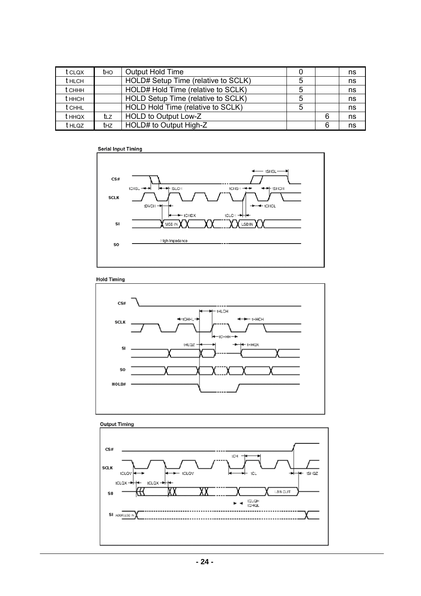| t clox        | <b>t</b> HO     | <b>Output Hold Time</b>             |   | ns |
|---------------|-----------------|-------------------------------------|---|----|
| <b>t</b> HLCH |                 | HOLD# Setup Time (relative to SCLK) |   | ns |
| t сннн        |                 | HOLD# Hold Time (relative to SCLK)  |   | ns |
| t ннсн        |                 | HOLD Setup Time (relative to SCLK)  |   | ns |
| <b>t</b> CHHL |                 | HOLD Hold Time (relative to SCLK)   |   | ns |
| t ннох        | tız             | HOLD to Output Low-Z                | 6 | ns |
| t HLQZ        | t <sub>HZ</sub> | HOLD# to Output High-Z              | 6 | ns |



**Hold Timing** 



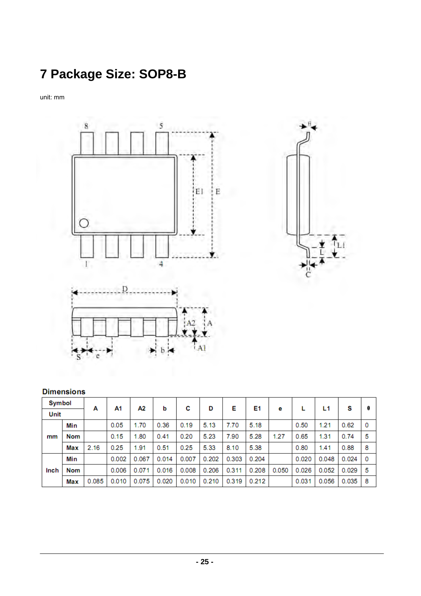# **7 Package Size: SOP8-B**

unit: mm





#### **Dimensions**

| Symbol |            | А     | A1    | А2    | b     | С     | D     | Е     | E1    |       |       | L1    | s     | θ  |
|--------|------------|-------|-------|-------|-------|-------|-------|-------|-------|-------|-------|-------|-------|----|
| Unit   |            |       |       |       |       |       |       |       |       | е     |       |       |       |    |
|        | Min        |       | 0.05  | 1.70  | 0.36  | 0.19  | 5.13  | 7.70  | 5.18  |       | 0.50  | 1.21  | 0.62  | 0  |
| mm     | <b>Nom</b> |       | 0.15  | 1.80  | 0.41  | 0.20  | 5.23  | 7.90  | 5.28  | 1.27  | 0.65  | 1.31  | 0.74  | 5  |
|        | Max        | 2.16  | 0.25  | 1.91  | 0.51  | 0.25  | 5.33  | 8.10  | 5.38  |       | 0.80  | 1.41  | 0.88  | 8  |
|        | Min        |       | 0.002 | 0.067 | 0.014 | 0.007 | 0.202 | 0.303 | 0.204 |       | 0.020 | 0.048 | 0.024 | 0  |
| Inch   | <b>Nom</b> |       | 0.006 | 0.071 | 0.016 | 0.008 | 0.206 | 0.311 | 0.208 | 0.050 | 0.026 | 0.052 | 0.029 | -5 |
|        | Max        | 0.085 | 0.010 | 0.075 | 0.020 | 0.010 | 0.210 | 0.319 | 0.212 |       | 0.031 | 0.056 | 0.035 | 8  |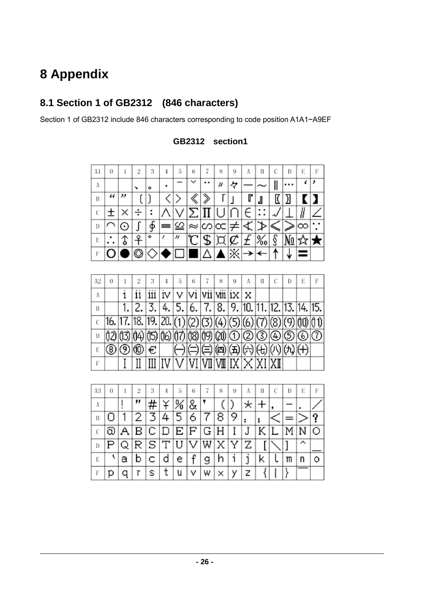## **8 Appendix**

## **8.1 Section 1 of GB2312 (846 characters)**

Section 1 of GB2312 include 846 characters corresponding to code position A1A1~A9EF

| Al | 0 |               | 2            | 3 | 4 | 5 | 6           |   | 8  | 9 | A  | В                 | D | Е        | F |
|----|---|---------------|--------------|---|---|---|-------------|---|----|---|----|-------------------|---|----------|---|
| Λ  |   |               | $\checkmark$ | ۰ | ٠ |   | $\check{ }$ |   | IJ | ヶ |    |                   |   | ،        |   |
| В  | " | "             |              |   |   |   |             |   |    |   | u  | 』                 |   |          |   |
| C  |   |               |              |   |   |   |             |   |    |   |    |                   |   |          |   |
| D  |   | $(\,\cdot\,)$ |              | ዎ |   |   | ≈           |   |    |   | ∼. |                   |   | $\infty$ | ٠ |
| E  | ٠ | ٥             | Q            | ۰ |   | n |             | Φ |    |   |    | 0,<br>$\sqrt{00}$ |   |          |   |
| F  |   |               |              |   |   |   |             |   |    | Х |    |                   |   |          |   |

#### **GB2312 section1**

| A2 | 0 |                                                                       | 3 |                                                                                                                                                                                                                                                                                                                                                                                                                                                                                                                  | 6 | 8 | 9 | A |  | D | Е |  |
|----|---|-----------------------------------------------------------------------|---|------------------------------------------------------------------------------------------------------------------------------------------------------------------------------------------------------------------------------------------------------------------------------------------------------------------------------------------------------------------------------------------------------------------------------------------------------------------------------------------------------------------|---|---|---|---|--|---|---|--|
| Α  |   |                                                                       |   | $\left  \frac{1}{2} \right  \times \left  \frac{1}{2} \right  \times \left  \frac{1}{2} \right  \times \left  \frac{1}{2} \right  \times \left  \frac{1}{2} \right  \times \left  \frac{1}{2} \right  \times \left  \frac{1}{2} \right  \times \left  \frac{1}{2} \right  \times \left  \frac{1}{2} \right  \times \left  \frac{1}{2} \right  \times \left  \frac{1}{2} \right  \times \left  \frac{1}{2} \right  \times \left  \frac{1}{2} \right  \times \left  \frac{1}{2} \right  \times \left  \frac{1}{2}$ |   |   |   |   |  |   |   |  |
| В  |   |                                                                       |   | $2,  3,  4,  5,  6,  7,  8,  9,  10,  11,  12,  13,  14,  15,  16,  17,  18,  19,  10,  11,  12,  13,  14,  15,  16,  17,  18,  19,  10,  11,  12,  13,  14,  15,  16,  17,  18,  19,  10,  11,  12,  13,  14,  15,  16,  17,  18,  19,  10,  11,  12,  13,  14,  15,  16,  17,  18,  $                                                                                                                                                                                                                          |   |   |   |   |  |   |   |  |
|    |   | $16.  17.  18.  19.  20. (1) (2) (3) (4) (5) (6) (7) (8) (9) (1) (1)$ |   |                                                                                                                                                                                                                                                                                                                                                                                                                                                                                                                  |   |   |   |   |  |   |   |  |
| D  |   | (12 13 14 15 16 17 18 19 20 0 0 9 9 0 0 0                             |   |                                                                                                                                                                                                                                                                                                                                                                                                                                                                                                                  |   |   |   |   |  |   |   |  |
| Е  |   | (® ® ® €                                                              |   | (-) (=) (=) (=) (+) (+) (+) (+)  +)                                                                                                                                                                                                                                                                                                                                                                                                                                                                              |   |   |   |   |  |   |   |  |
| Е  |   |                                                                       |   | $\boxed{\text{III} \mid \text{IV} \mid \text{V} \mid \text{VI} \mid \text{VII} \mid \text{VIII} \mid \text{IX} \mid \text{XII} \mid \text{XI}}$                                                                                                                                                                                                                                                                                                                                                                  |   |   |   |   |  |   |   |  |

| A3 | 0 |   | 2                       | 3                 | 4 | 5                     | 6 |     | 8   | 9 | Α | в | С | Ð | Е | F |
|----|---|---|-------------------------|-------------------|---|-----------------------|---|-----|-----|---|---|---|---|---|---|---|
| Α  |   |   | .,                      |                   |   | ℅                     | 8 |     |     |   |   |   |   |   |   |   |
| B  |   |   |                         |                   |   | 5                     | 6 |     |     |   |   | : |   |   |   |   |
| C  | බ | Α | В                       | $\overline{C}$ is | D | $ {\rm E}\, {\rm F} $ |   | l G | ΙH  |   |   |   |   | м |   |   |
| D  |   | Q | $\mathsf{R} \mathsf{l}$ | S                 | Т | U                     |   |     | W∣X | Y | Ζ |   |   |   | ㅅ |   |
| E  |   | а |                         | c                 | d | e                     | f | g   |     |   |   | Κ |   | m | n | ∩ |
| Е  | р |   | r                       | s                 | τ | u                     | ٧ | w   | ×   | У | z |   |   |   |   |   |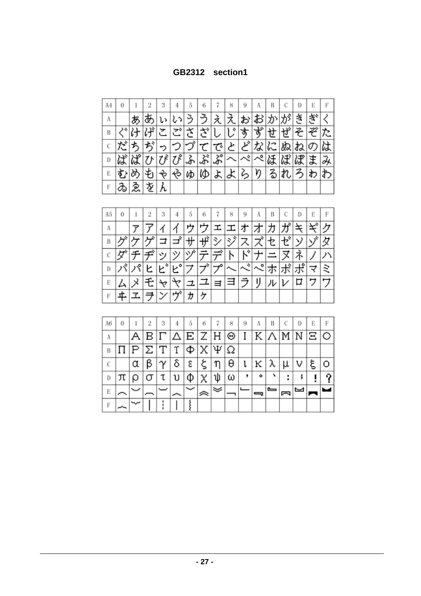#### **GB2312 section1**

| Α4 | 0  |      |   | 3 | 4  | 5  | 6  |                                  | 8      | 9 | Α       | В |   | D | Е  | F |
|----|----|------|---|---|----|----|----|----------------------------------|--------|---|---------|---|---|---|----|---|
| Α  |    | æ    |   |   |    |    |    |                                  |        |   |         |   |   |   |    |   |
| B  |    |      |   |   |    |    | や  |                                  | ÷<br>U | す | خد<br>໑ | N | Ŀ | z | ⊅  |   |
| С  |    |      |   |   |    |    |    | で                                | と      | ど | な       | ∽ | ぬ |   | U) |   |
| D  | ぼ  | ぱ    |   |   | ₹۶ | ふ' | ぷ  | $\overline{\mathcal{S}}^{\circ}$ |        |   | ぺ       | は | ぼ | ぽ |    |   |
| E  | ず. |      |   |   | ಳು | ゆ  | KD | よ                                | ょ      | 么 | ŋ       | z |   |   | わ  |   |
| F  | z  | క్లై | 垄 |   |    |    |    |                                  |        |   |         |   |   |   |    |   |

| A5 | 0  |    | 2 | 3 | 4                    | 5 | 6       |   | 8                        | 9           | А  | В | C  | D       | Е | F |
|----|----|----|---|---|----------------------|---|---------|---|--------------------------|-------------|----|---|----|---------|---|---|
| Α  |    |    |   |   |                      |   |         |   |                          |             |    |   |    |         |   |   |
| Β  |    |    |   |   | s                    | ₩ | πд      | シ | $\overline{\mathcal{S}}$ |             |    |   | Гý | У       | ゾ | 攵 |
| С  |    |    |   | ッ | ツ                    | ヅ |         |   | ▷                        | ι÷          |    |   |    |         |   |   |
| D  | ¢, | o, |   | ÷ | $\mathfrak{c}^\circ$ |   | $\star$ |   |                          | ÷<br>$\sim$ | o  |   |    | $\circ$ | ≺ | さ |
| E  |    |    |   |   |                      |   |         |   |                          |             | IJ |   |    |         |   |   |
| F  | 正  |    |   |   | ザ                    | ゕ |         |   |                          |             |    |   |    |         |   |   |

| A6 | 0 |   |    | 3        |                      | 5 | 6  |                 | 8 | 9 | А | В   |   | D | Е   | Е |
|----|---|---|----|----------|----------------------|---|----|-----------------|---|---|---|-----|---|---|-----|---|
| A  |   |   | в  | IГ.      | $ \Delta $ E $ Z $ H |   |    |                 | Θ | I |   | KΙΛ | M |   | NEO |   |
| B  |   | Ρ | IΣ | Т        | Υ                    | Ф | χ. | $ \Psi  \Omega$ |   |   |   |     |   |   |     |   |
| C  |   | α | ß  | $\gamma$ | δ                    | ε |    |                 | θ | ι | ĸ | λ   |   |   | ξ   |   |
| D  |   |   |    | τ        |                      |   |    |                 | ω |   | ۰ |     | ٠ |   |     |   |
| E  |   |   |    |          |                      |   |    |                 |   |   |   |     |   |   |     |   |
| Е  |   |   |    |          |                      |   |    |                 |   |   |   |     |   |   |     |   |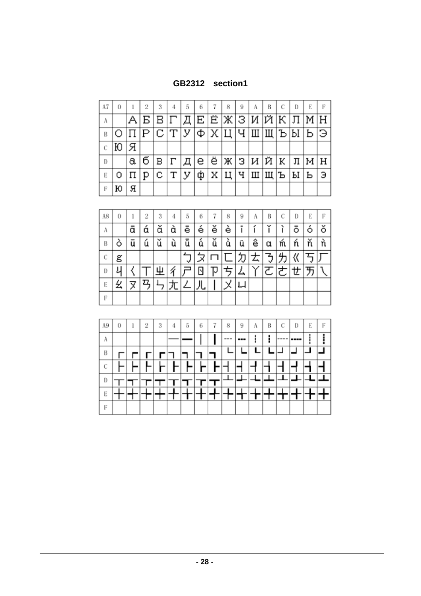### **GB2312 section1**

| A7 | 0  |                        |  | 5 | 6 | 8                                 | 9 | A | В | С | Ð | E                           |   |
|----|----|------------------------|--|---|---|-----------------------------------|---|---|---|---|---|-----------------------------|---|
| Α  |    |                        |  |   |   |                                   |   |   |   |   |   | $A B B \Gamma \Gamma$       |   |
| B  |    | ОПРСТУФХЦЧШЩЪЫБЭ       |  |   |   |                                   |   |   |   |   |   |                             |   |
| C  | IЮ | + 另 +                  |  |   |   |                                   |   |   |   |   |   |                             |   |
| Đ  |    | a                      |  |   |   |                                   |   |   |   |   |   | б в г д е ё ж з и й к л м н |   |
| Е  | 0  | $ \Pi p c \Upsilon y $ |  |   |   | ф   Х   Ц   Ч   Ш   Щ   Ъ   Ы   Ь |   |   |   |   |   |                             | Э |
| F  | ю  | я                      |  |   |   |                                   |   |   |   |   |   |                             |   |

| A8 | 0 |   | 2 | 3      | 4 | 5 | 6 |   | 8 | 9 | A | В | С | D | Е | F |
|----|---|---|---|--------|---|---|---|---|---|---|---|---|---|---|---|---|
| Α  |   | ā | α | v<br>α | à | e | è | ě | è |   |   |   |   |   |   | ŏ |
| В  | O | ū | ú | ŭ      | ù | ū | ű | ŭ | ù | ü | ê | α | m | ń | ň |   |
| С  | g |   |   |        |   | v | ╳ |   |   | 刀 | 去 | 了 |   | 《 |   |   |
| D  | ı |   |   | 业      |   |   |   |   |   | 厶 |   | ፘ | き | せ | 万 |   |
| E  | 幺 |   | □ |        |   | ∠ | 儿 |   |   | 니 |   |   |   |   |   |   |
| F  |   |   |   |        |   |   |   |   |   |   |   |   |   |   |   |   |

| A9 | 0 | 2 | 3 | 4 | 5 | 6 | 7 | 8   | 9   | A | В | С    | D | E | F |
|----|---|---|---|---|---|---|---|-----|-----|---|---|------|---|---|---|
| A  |   |   |   |   |   |   |   | --- | --- |   |   | ---- |   |   |   |
| B  |   |   |   |   |   |   |   |     |     |   |   |      |   |   |   |
| C  |   |   |   |   |   |   |   |     |     |   |   |      |   |   |   |
| D  |   |   |   |   |   |   |   |     |     |   |   |      |   |   |   |
| E  |   |   |   |   |   |   |   |     |     |   |   |      |   |   |   |
| F  |   |   |   |   |   |   |   |     |     |   |   |      |   |   |   |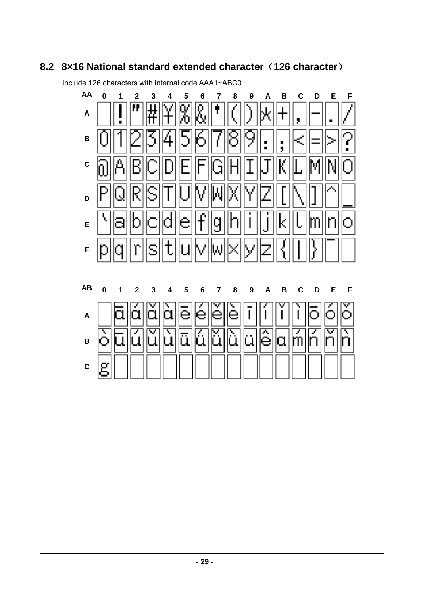### **8.2 8×16 National standard extended character**(**126 character**)

**AA 0 1 2 3 4 5 6 7 8 9 A B C D E F**  R<br>6 Ħ Ο **A**  ۹ **B**   $\blacksquare$  $\blacksquare$ н I, **C**  л Ś **D**  Ā q k m Э е О **E**  IT I I **F**  S ٨l **AB 0 1 2 3 4 5 6 7 8 9 A B C D E F**  × ě  $\overline{\phantom{a}}$ α α α е **A**  ۷ ۵ O la m **B**   $\overline{\phantom{a}}$  $\overline{\phantom{a}}$ ı g **C** 

Include 126 characters with internal code AAA1~ABC0